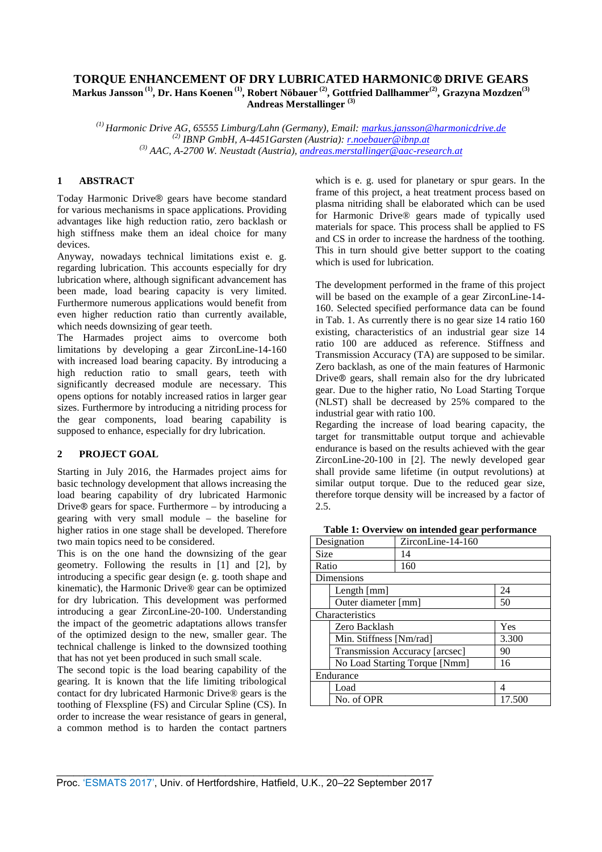# **TORQUE ENHANCEMENT OF DRY LUBRICATED HARMONIC® DRIVE GEARS Markus Jansson (1), Dr. Hans Koenen (1), Robert Nöbauer (2), Gottfried Dallhammer(2), Grazyna Mozdzen(3) Andreas Merstallinger (3)**

*(1) Harmonic Drive AG, 65555 Limburg/Lahn (Germany), Email: markus.jansson@harmonicdrive.de (2) IBNP GmbH, A-4451Garsten (Austria): r.noebauer@ibnp.at* 

*(3) AAC, A-2700 W. Neustadt (Austria), andreas.merstallinger@aac-research.at*

# **1 ABSTRACT**

Today Harmonic Drive® gears have become standard for various mechanisms in space applications. Providing advantages like high reduction ratio, zero backlash or high stiffness make them an ideal choice for many devices.

Anyway, nowadays technical limitations exist e. g. regarding lubrication. This accounts especially for dry lubrication where, although significant advancement has been made, load bearing capacity is very limited. Furthermore numerous applications would benefit from even higher reduction ratio than currently available, which needs downsizing of gear teeth.

The Harmades project aims to overcome both limitations by developing a gear ZirconLine-14-160 with increased load bearing capacity. By introducing a high reduction ratio to small gears, teeth with significantly decreased module are necessary. This opens options for notably increased ratios in larger gear sizes. Furthermore by introducing a nitriding process for the gear components, load bearing capability is supposed to enhance, especially for dry lubrication.

# **2 PROJECT GOAL**

Starting in July 2016, the Harmades project aims for basic technology development that allows increasing the load bearing capability of dry lubricated Harmonic Drive® gears for space. Furthermore – by introducing a gearing with very small module – the baseline for higher ratios in one stage shall be developed. Therefore two main topics need to be considered.

This is on the one hand the downsizing of the gear geometry. Following the results in [1] and [2], by introducing a specific gear design (e. g. tooth shape and kinematic), the Harmonic Drive® gear can be optimized for dry lubrication. This development was performed introducing a gear ZirconLine-20-100. Understanding the impact of the geometric adaptations allows transfer of the optimized design to the new, smaller gear. The technical challenge is linked to the downsized toothing that has not yet been produced in such small scale.

The second topic is the load bearing capability of the gearing. It is known that the life limiting tribological contact for dry lubricated Harmonic Drive® gears is the toothing of Flexspline (FS) and Circular Spline (CS). In order to increase the wear resistance of gears in general, a common method is to harden the contact partners which is e. g. used for planetary or spur gears. In the frame of this project, a heat treatment process based on plasma nitriding shall be elaborated which can be used for Harmonic Drive® gears made of typically used materials for space. This process shall be applied to FS and CS in order to increase the hardness of the toothing. This in turn should give better support to the coating which is used for lubrication.

The development performed in the frame of this project will be based on the example of a gear ZirconLine-14- 160. Selected specified performance data can be found in Tab. 1. As currently there is no gear size 14 ratio 160 existing, characteristics of an industrial gear size 14 ratio 100 are adduced as reference. Stiffness and Transmission Accuracy (TA) are supposed to be similar. Zero backlash, as one of the main features of Harmonic Drive® gears, shall remain also for the dry lubricated gear. Due to the higher ratio, No Load Starting Torque (NLST) shall be decreased by 25% compared to the industrial gear with ratio 100.

Regarding the increase of load bearing capacity, the target for transmittable output torque and achievable endurance is based on the results achieved with the gear ZirconLine-20-100 in [2]. The newly developed gear shall provide same lifetime (in output revolutions) at similar output torque. Due to the reduced gear size, therefore torque density will be increased by a factor of 2.5.

| Table 1: Overview on intended gear performance |  |
|------------------------------------------------|--|
|------------------------------------------------|--|

| Designation                   | $ZirconLine-14-160$            |        |
|-------------------------------|--------------------------------|--------|
| <b>Size</b>                   | 14                             |        |
| Ratio                         | 160                            |        |
| Dimensions                    |                                |        |
| Length [mm]                   |                                | 24     |
| Outer diameter [mm]           |                                | 50     |
| Characteristics               |                                |        |
| Zero Backlash                 |                                | Yes    |
| Min. Stiffness [Nm/rad]       |                                | 3.300  |
|                               | Transmission Accuracy [arcsec] | 90     |
| No Load Starting Torque [Nmm] |                                | 16     |
| Endurance                     |                                |        |
| Load                          |                                | 4      |
| No. of OPR                    |                                | 17.500 |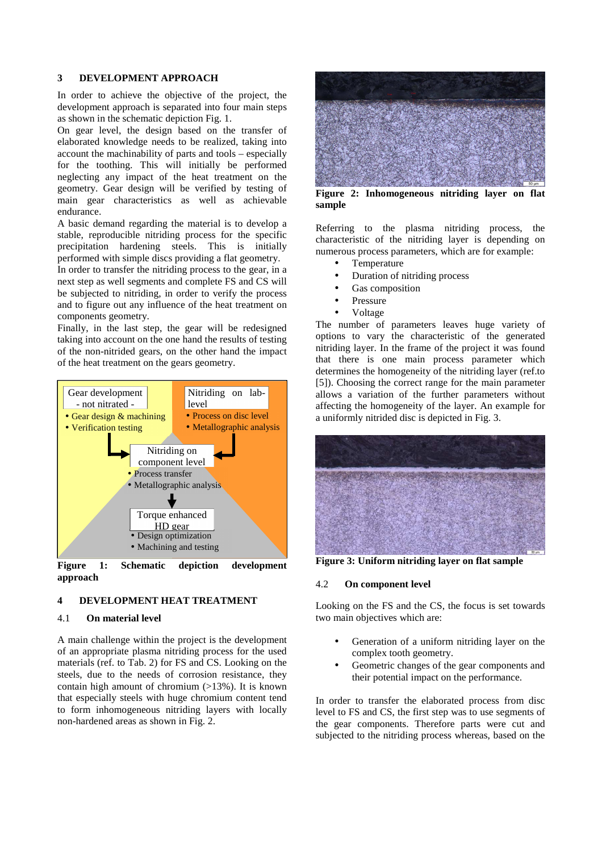### **3 DEVELOPMENT APPROACH**

In order to achieve the objective of the project, the development approach is separated into four main steps as shown in the schematic depiction Fig. 1.

On gear level, the design based on the transfer of elaborated knowledge needs to be realized, taking into account the machinability of parts and tools – especially for the toothing. This will initially be performed neglecting any impact of the heat treatment on the geometry. Gear design will be verified by testing of main gear characteristics as well as achievable endurance.

A basic demand regarding the material is to develop a stable, reproducible nitriding process for the specific precipitation hardening steels. This is initially performed with simple discs providing a flat geometry.

In order to transfer the nitriding process to the gear, in a next step as well segments and complete FS and CS will be subjected to nitriding, in order to verify the process and to figure out any influence of the heat treatment on components geometry.

Finally, in the last step, the gear will be redesigned taking into account on the one hand the results of testing of the non-nitrided gears, on the other hand the impact of the heat treatment on the gears geometry.



**Figure 1: Schematic depiction development approach** 

### **4 DEVELOPMENT HEAT TREATMENT**

### 4.1 **On material level**

A main challenge within the project is the development of an appropriate plasma nitriding process for the used materials (ref. to Tab. 2) for FS and CS. Looking on the steels, due to the needs of corrosion resistance, they contain high amount of chromium  $(>13%)$ . It is known that especially steels with huge chromium content tend to form inhomogeneous nitriding layers with locally non-hardened areas as shown in Fig. 2.



**Figure 2: Inhomogeneous nitriding layer on flat sample** 

Referring to the plasma nitriding process, the characteristic of the nitriding layer is depending on numerous process parameters, which are for example:

- **Temperature**
- Duration of nitriding process
- Gas composition
- **Pressure**
- Voltage

The number of parameters leaves huge variety of options to vary the characteristic of the generated nitriding layer. In the frame of the project it was found that there is one main process parameter which determines the homogeneity of the nitriding layer (ref.to [5]). Choosing the correct range for the main parameter allows a variation of the further parameters without affecting the homogeneity of the layer. An example for a uniformly nitrided disc is depicted in Fig. 3.



**Figure 3: Uniform nitriding layer on flat sample** 

#### 4.2 **On component level**

Looking on the FS and the CS, the focus is set towards two main objectives which are:

- Generation of a uniform nitriding layer on the complex tooth geometry.
- Geometric changes of the gear components and their potential impact on the performance.

In order to transfer the elaborated process from disc level to FS and CS, the first step was to use segments of the gear components. Therefore parts were cut and subjected to the nitriding process whereas, based on the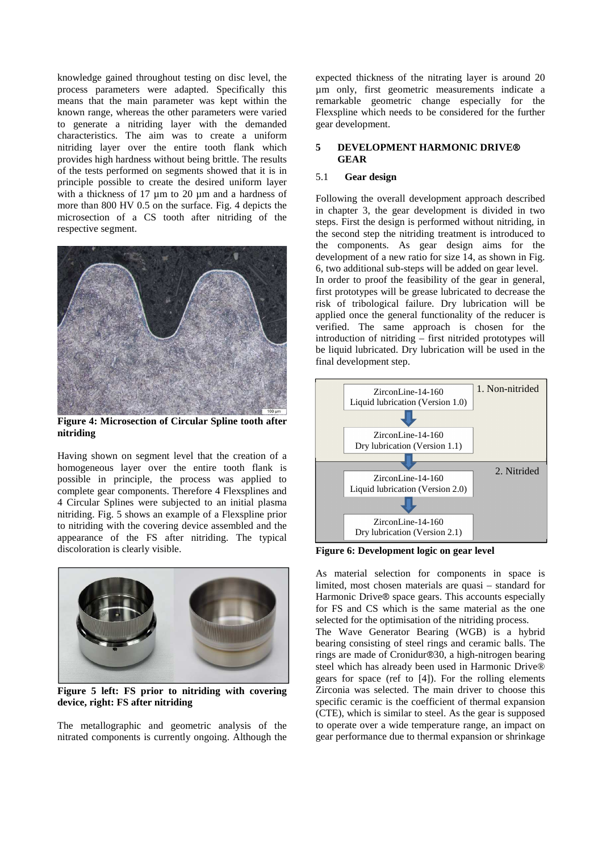knowledge gained throughout testing on disc level, the process parameters were adapted. Specifically this means that the main parameter was kept within the known range, whereas the other parameters were varied to generate a nitriding layer with the demanded characteristics. The aim was to create a uniform nitriding layer over the entire tooth flank which provides high hardness without being brittle. The results of the tests performed on segments showed that it is in principle possible to create the desired uniform layer with a thickness of 17 um to 20 um and a hardness of more than 800 HV 0.5 on the surface. Fig. 4 depicts the microsection of a CS tooth after nitriding of the respective segment.



**Figure 4: Microsection of Circular Spline tooth after nitriding** 

Having shown on segment level that the creation of a homogeneous layer over the entire tooth flank is possible in principle, the process was applied to complete gear components. Therefore 4 Flexsplines and 4 Circular Splines were subjected to an initial plasma nitriding. Fig. 5 shows an example of a Flexspline prior to nitriding with the covering device assembled and the appearance of the FS after nitriding. The typical discoloration is clearly visible.



**Figure 5 left: FS prior to nitriding with covering device, right: FS after nitriding** 

The metallographic and geometric analysis of the nitrated components is currently ongoing. Although the expected thickness of the nitrating layer is around 20 µm only, first geometric measurements indicate a remarkable geometric change especially for the Flexspline which needs to be considered for the further gear development.

# **5 DEVELOPMENT HARMONIC DRIVE® GEAR**

# 5.1 **Gear design**

Following the overall development approach described in chapter 3, the gear development is divided in two steps. First the design is performed without nitriding, in the second step the nitriding treatment is introduced to the components. As gear design aims for the development of a new ratio for size 14, as shown in Fig. 6, two additional sub-steps will be added on gear level.

In order to proof the feasibility of the gear in general, first prototypes will be grease lubricated to decrease the risk of tribological failure. Dry lubrication will be applied once the general functionality of the reducer is verified. The same approach is chosen for the introduction of nitriding – first nitrided prototypes will be liquid lubricated. Dry lubrication will be used in the final development step.



**Figure 6: Development logic on gear level** 

As material selection for components in space is limited, most chosen materials are quasi – standard for Harmonic Drive® space gears. This accounts especially for FS and CS which is the same material as the one selected for the optimisation of the nitriding process.

The Wave Generator Bearing (WGB) is a hybrid bearing consisting of steel rings and ceramic balls. The rings are made of Cronidur®30, a high-nitrogen bearing steel which has already been used in Harmonic Drive® gears for space (ref to [4]). For the rolling elements Zirconia was selected. The main driver to choose this specific ceramic is the coefficient of thermal expansion (CTE), which is similar to steel. As the gear is supposed to operate over a wide temperature range, an impact on gear performance due to thermal expansion or shrinkage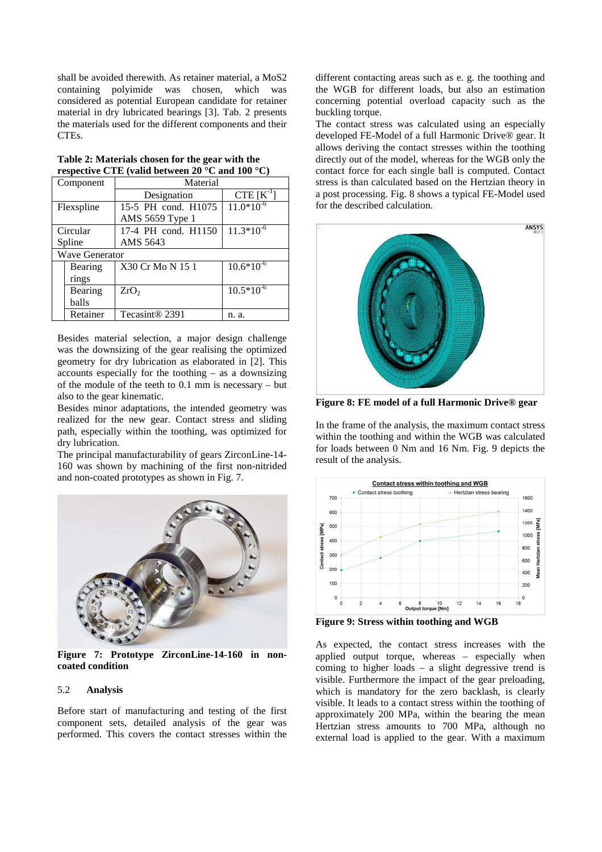shall be avoided therewith. As retainer material, a MoS2 containing polyimide was chosen, which was considered as potential European candidate for retainer material in dry lubricated bearings [3]. Tab. 2 presents the materials used for the different components and their CTEs.

|                       | respective $C_1$ is (valid between 20 $\sim$ dild 100 $\sim$ ) |                |  |
|-----------------------|----------------------------------------------------------------|----------------|--|
| Component             | Material                                                       |                |  |
|                       | Designation                                                    | CTE $[K^{-1}]$ |  |
| Flexspline            | 15-5 PH cond. H1075                                            | $11.0*10^{-6}$ |  |
|                       | AMS 5659 Type 1                                                |                |  |
| Circular              | 17-4 PH cond. H1150                                            | $11.3*10^{-6}$ |  |
| Spline                | AMS 5643                                                       |                |  |
| <b>Wave Generator</b> |                                                                |                |  |
| Bearing               | X30 Cr Mo N 15 1                                               | $10.6*10^{-6}$ |  |
| rings                 |                                                                |                |  |
| Bearing               | ZrO <sub>2</sub>                                               | $10.5*10^{-6}$ |  |
| balls                 |                                                                |                |  |
| Retainer              | Tecasint <sup>®</sup> 2391                                     | n. a.          |  |

| Table 2: Materials chosen for the gear with the                     |
|---------------------------------------------------------------------|
| respective CTE (valid between 20 $^{\circ}$ C and 100 $^{\circ}$ C) |

Besides material selection, a major design challenge was the downsizing of the gear realising the optimized geometry for dry lubrication as elaborated in [2]. This accounts especially for the toothing – as a downsizing of the module of the teeth to 0.1 mm is necessary – but also to the gear kinematic.

Besides minor adaptations, the intended geometry was realized for the new gear. Contact stress and sliding path, especially within the toothing, was optimized for dry lubrication.

The principal manufacturability of gears ZirconLine-14- 160 was shown by machining of the first non-nitrided and non-coated prototypes as shown in Fig. 7.



**Figure 7: Prototype ZirconLine-14-160 in noncoated condition** 

### 5.2 **Analysis**

Before start of manufacturing and testing of the first component sets, detailed analysis of the gear was performed. This covers the contact stresses within the different contacting areas such as e. g. the toothing and the WGB for different loads, but also an estimation concerning potential overload capacity such as the buckling torque.

The contact stress was calculated using an especially developed FE-Model of a full Harmonic Drive® gear. It allows deriving the contact stresses within the toothing directly out of the model, whereas for the WGB only the contact force for each single ball is computed. Contact stress is than calculated based on the Hertzian theory in a post processing. Fig. 8 shows a typical FE-Model used for the described calculation.



**Figure 8: FE model of a full Harmonic Drive® gear** 

In the frame of the analysis, the maximum contact stress within the toothing and within the WGB was calculated for loads between 0 Nm and 16 Nm. Fig. 9 depicts the result of the analysis.



**Figure 9: Stress within toothing and WGB** 

As expected, the contact stress increases with the applied output torque, whereas – especially when coming to higher loads – a slight degressive trend is visible. Furthermore the impact of the gear preloading, which is mandatory for the zero backlash, is clearly visible. It leads to a contact stress within the toothing of approximately 200 MPa, within the bearing the mean Hertzian stress amounts to 700 MPa, although no external load is applied to the gear. With a maximum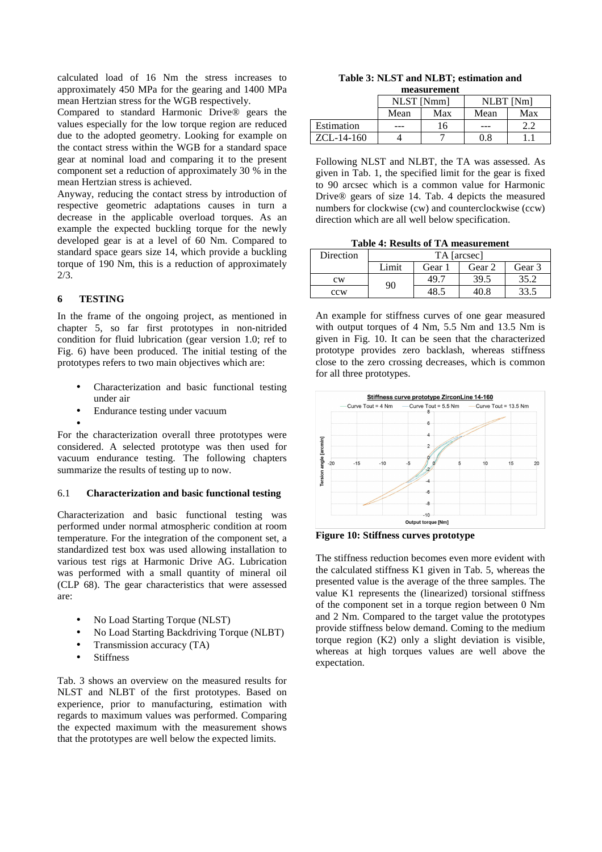calculated load of 16 Nm the stress increases to approximately 450 MPa for the gearing and 1400 MPa mean Hertzian stress for the WGB respectively.

Compared to standard Harmonic Drive® gears the values especially for the low torque region are reduced due to the adopted geometry. Looking for example on the contact stress within the WGB for a standard space gear at nominal load and comparing it to the present component set a reduction of approximately 30 % in the mean Hertzian stress is achieved.

Anyway, reducing the contact stress by introduction of respective geometric adaptations causes in turn a decrease in the applicable overload torques. As an example the expected buckling torque for the newly developed gear is at a level of 60 Nm. Compared to standard space gears size 14, which provide a buckling torque of 190 Nm, this is a reduction of approximately 2/3.

# **6 TESTING**

In the frame of the ongoing project, as mentioned in chapter 5, so far first prototypes in non-nitrided condition for fluid lubrication (gear version 1.0; ref to Fig. 6) have been produced. The initial testing of the prototypes refers to two main objectives which are:

- Characterization and basic functional testing under air
- Endurance testing under vacuum
- •

For the characterization overall three prototypes were considered. A selected prototype was then used for vacuum endurance testing. The following chapters summarize the results of testing up to now.

### 6.1 **Characterization and basic functional testing**

Characterization and basic functional testing was performed under normal atmospheric condition at room temperature. For the integration of the component set, a standardized test box was used allowing installation to various test rigs at Harmonic Drive AG. Lubrication was performed with a small quantity of mineral oil (CLP 68). The gear characteristics that were assessed are:

- No Load Starting Torque (NLST)
- No Load Starting Backdriving Torque (NLBT)
- Transmission accuracy (TA)
- Stiffness

Tab. 3 shows an overview on the measured results for NLST and NLBT of the first prototypes. Based on experience, prior to manufacturing, estimation with regards to maximum values was performed. Comparing the expected maximum with the measurement shows that the prototypes are well below the expected limits.

### **Table 3: NLST and NLBT; estimation and measurement**

|              | NLST [Nmm] |     | <b>NLBT</b> [Nm] |     |
|--------------|------------|-----|------------------|-----|
|              | Mean       | Max | Mean             | Max |
| Estimation   | ---        | .6  | ---              |     |
| $ZCL-14-160$ |            |     | 0.8              |     |

Following NLST and NLBT, the TA was assessed. As given in Tab. 1, the specified limit for the gear is fixed to 90 arcsec which is a common value for Harmonic Drive® gears of size 14. Tab. 4 depicts the measured numbers for clockwise (cw) and counterclockwise (ccw) direction which are all well below specification.

**Table 4: Results of TA measurement** 

| Direction | TA [arcsec] |        |        |        |
|-----------|-------------|--------|--------|--------|
|           | Limit       | Gear 1 | Gear 2 | Gear 3 |
| cw        | 90          | 49.7   | 39.5   | 35.2   |
| ccw       |             | 18 s   | 40 S   | 33.1   |

An example for stiffness curves of one gear measured with output torques of 4 Nm, 5.5 Nm and 13.5 Nm is given in Fig. 10. It can be seen that the characterized prototype provides zero backlash, whereas stiffness close to the zero crossing decreases, which is common for all three prototypes.



**Figure 10: Stiffness curves prototype** 

The stiffness reduction becomes even more evident with the calculated stiffness K1 given in Tab. 5, whereas the presented value is the average of the three samples. The value K1 represents the (linearized) torsional stiffness of the component set in a torque region between 0 Nm and 2 Nm. Compared to the target value the prototypes provide stiffness below demand. Coming to the medium torque region (K2) only a slight deviation is visible, whereas at high torques values are well above the expectation.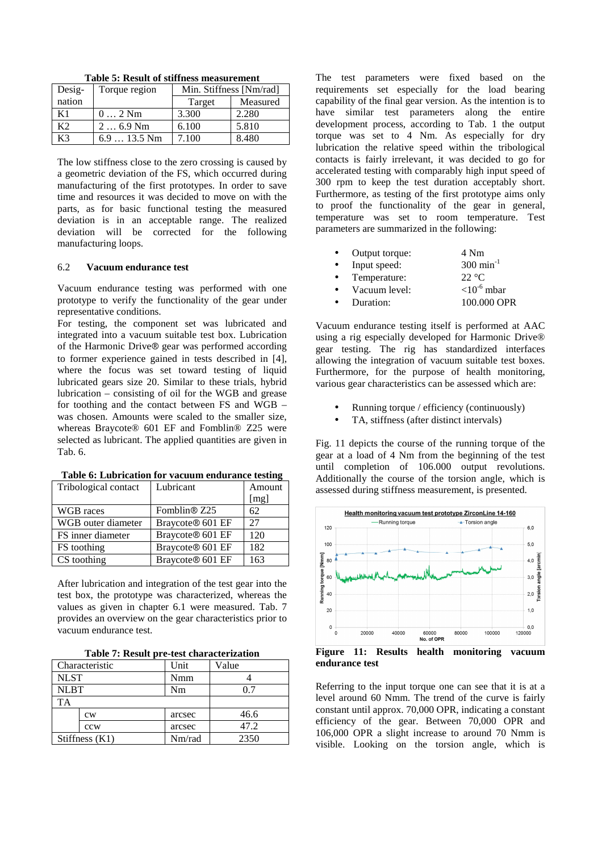| Desig- | Torque region | Min. Stiffness [Nm/rad] |          |
|--------|---------------|-------------------------|----------|
| nation |               | Target                  | Measured |
| Κ1     | $02$ Nm       | 3.300                   | 2.280    |
| K2     | $26.9$ Nm     | 6.100                   | 5.810    |
| K3     | $6.913.5$ Nm  | 7.100                   | 8.480    |

**Table 5: Result of stiffness measurement** 

The low stiffness close to the zero crossing is caused by a geometric deviation of the FS, which occurred during manufacturing of the first prototypes. In order to save time and resources it was decided to move on with the parts, as for basic functional testing the measured deviation is in an acceptable range. The realized deviation will be corrected for the following manufacturing loops.

### 6.2 **Vacuum endurance test**

Vacuum endurance testing was performed with one prototype to verify the functionality of the gear under representative conditions.

For testing, the component set was lubricated and integrated into a vacuum suitable test box. Lubrication of the Harmonic Drive® gear was performed according to former experience gained in tests described in [4], where the focus was set toward testing of liquid lubricated gears size 20. Similar to these trials, hybrid lubrication – consisting of oil for the WGB and grease for toothing and the contact between FS and WGB – was chosen. Amounts were scaled to the smaller size, whereas Braycote® 601 EF and Fomblin® Z25 were selected as lubricant. The applied quantities are given in Tab. 6.

| Tribological contact | Lubricant                    | Amount |
|----------------------|------------------------------|--------|
|                      |                              | [mg]   |
| WGB races            | Fomblin <sup>®</sup> Z25     | 62     |
| WGB outer diameter   | Braycote <sup>®</sup> 601 EF | 27     |
| FS inner diameter    | Braycote® 601 EF             | 120    |
| FS toothing          | Braycote® 601 EF             | 182    |
| CS toothing          | Braycote® 601 EF             | 163    |

**Table 6: Lubrication for vacuum endurance testing** 

After lubrication and integration of the test gear into the test box, the prototype was characterized, whereas the values as given in chapter 6.1 were measured. Tab. 7 provides an overview on the gear characteristics prior to vacuum endurance test.

|  |  |  |  | Table 7: Result pre-test characterization |
|--|--|--|--|-------------------------------------------|
|--|--|--|--|-------------------------------------------|

|             | Characteristic | Unit   | Value |
|-------------|----------------|--------|-------|
| <b>NLST</b> |                | Nmm    |       |
| <b>NLBT</b> |                | Nm     | ი 7   |
| <b>TA</b>   |                |        |       |
|             | cw             | arcsec | 46.6  |
|             | ccw            | arcsec | 47.2  |
|             | Stiffness (K1) | Nm/rad | 2350  |

The test parameters were fixed based on the requirements set especially for the load bearing capability of the final gear version. As the intention is to have similar test parameters along the entire development process, according to Tab. 1 the output torque was set to 4 Nm. As especially for dry lubrication the relative speed within the tribological contacts is fairly irrelevant, it was decided to go for accelerated testing with comparably high input speed of 300 rpm to keep the test duration acceptably short. Furthermore, as testing of the first prototype aims only to proof the functionality of the gear in general, temperature was set to room temperature. Test parameters are summarized in the following:

| $\bullet$ | Output torque: | 4 Nm                      |
|-----------|----------------|---------------------------|
| $\bullet$ | Input speed:   | $300 \text{ min}^{-1}$    |
| $\bullet$ | Temperature:   | 22 $\degree$ C            |
| $\bullet$ | Vacuum level:  | $<$ 10 <sup>-6</sup> mbar |
|           | Duration:      | 100.000 OPR               |

Vacuum endurance testing itself is performed at AAC using a rig especially developed for Harmonic Drive® gear testing. The rig has standardized interfaces allowing the integration of vacuum suitable test boxes. Furthermore, for the purpose of health monitoring, various gear characteristics can be assessed which are:

- Running torque / efficiency (continuously)
- TA, stiffness (after distinct intervals)

Fig. 11 depicts the course of the running torque of the gear at a load of 4 Nm from the beginning of the test until completion of 106.000 output revolutions. Additionally the course of the torsion angle, which is assessed during stiffness measurement, is presented.



**Figure 11: Results health monitoring vacuum endurance test** 

Referring to the input torque one can see that it is at a level around 60 Nmm. The trend of the curve is fairly constant until approx. 70,000 OPR, indicating a constant efficiency of the gear. Between 70,000 OPR and 106,000 OPR a slight increase to around 70 Nmm is visible. Looking on the torsion angle, which is